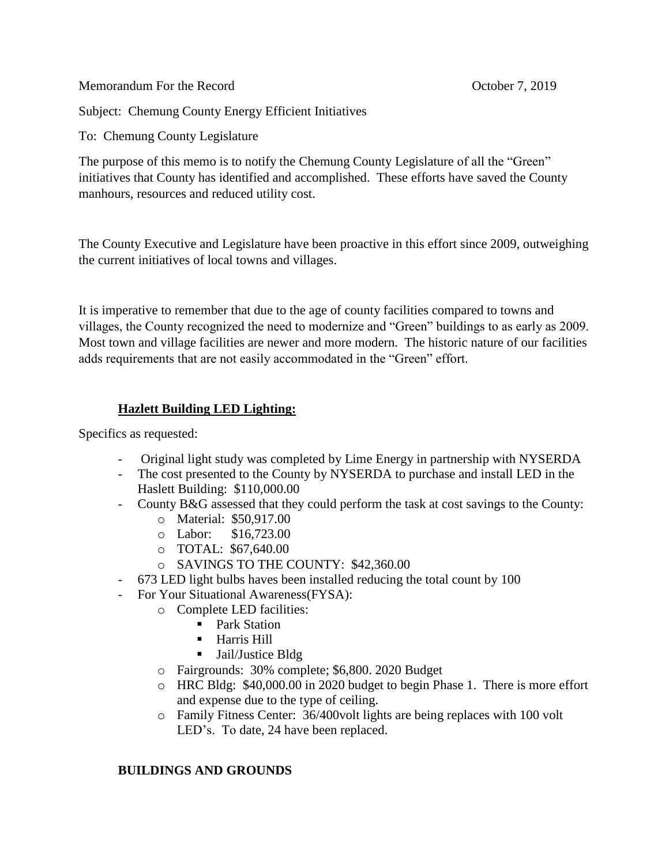Memorandum For the Record **Contact Contact Contact Contact Contact Contact Contact Contact Contact Contact Contact Contact Contact Contact Contact Contact Contact Contact Contact Contact Contact Contact Contact Contact Con** 

Subject: Chemung County Energy Efficient Initiatives

To: Chemung County Legislature

The purpose of this memo is to notify the Chemung County Legislature of all the "Green" initiatives that County has identified and accomplished. These efforts have saved the County manhours, resources and reduced utility cost.

The County Executive and Legislature have been proactive in this effort since 2009, outweighing the current initiatives of local towns and villages.

It is imperative to remember that due to the age of county facilities compared to towns and villages, the County recognized the need to modernize and "Green" buildings to as early as 2009. Most town and village facilities are newer and more modern. The historic nature of our facilities adds requirements that are not easily accommodated in the "Green" effort.

## **Hazlett Building LED Lighting:**

Specifics as requested:

- Original light study was completed by Lime Energy in partnership with NYSERDA
- The cost presented to the County by NYSERDA to purchase and install LED in the Haslett Building: \$110,000.00
- County B&G assessed that they could perform the task at cost savings to the County:
	- o Material: \$50,917.00
	- o Labor: \$16,723.00
	- o TOTAL: \$67,640.00
	- o SAVINGS TO THE COUNTY: \$42,360.00
- 673 LED light bulbs haves been installed reducing the total count by 100
- For Your Situational Awareness(FYSA):
	- o Complete LED facilities:
		- Park Station
			- **Harris Hill**
			- Jail/Justice Bldg
	- o Fairgrounds: 30% complete; \$6,800. 2020 Budget
	- o HRC Bldg: \$40,000.00 in 2020 budget to begin Phase 1. There is more effort and expense due to the type of ceiling.
	- o Family Fitness Center: 36/400volt lights are being replaces with 100 volt LED's. To date, 24 have been replaced.

## **BUILDINGS AND GROUNDS**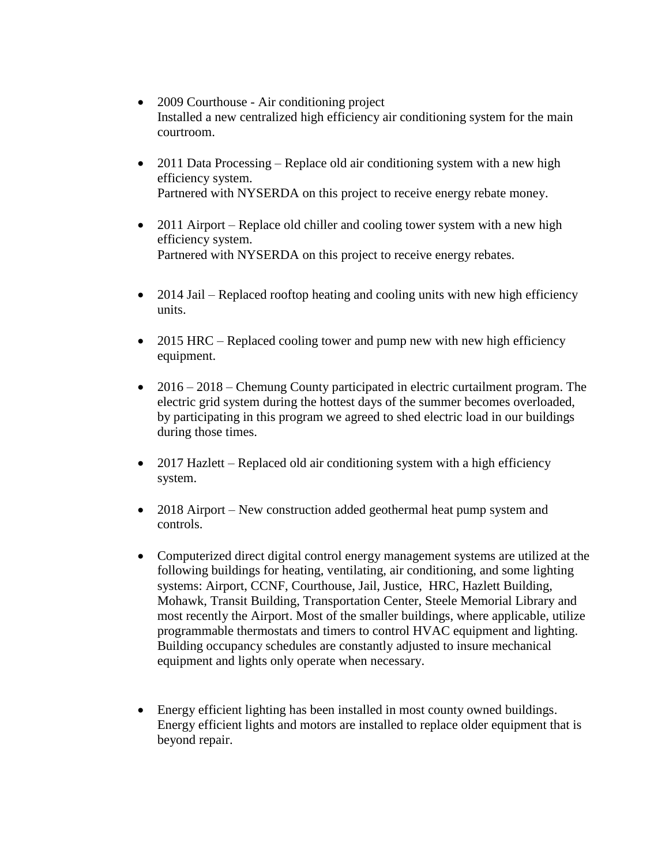- 2009 Courthouse Air conditioning project Installed a new centralized high efficiency air conditioning system for the main courtroom.
- 2011 Data Processing Replace old air conditioning system with a new high efficiency system. Partnered with NYSERDA on this project to receive energy rebate money.
- 2011 Airport Replace old chiller and cooling tower system with a new high efficiency system. Partnered with NYSERDA on this project to receive energy rebates.
- 2014 Jail Replaced rooftop heating and cooling units with new high efficiency units.
- 2015 HRC Replaced cooling tower and pump new with new high efficiency equipment.
- 2016 2018 Chemung County participated in electric curtailment program. The electric grid system during the hottest days of the summer becomes overloaded, by participating in this program we agreed to shed electric load in our buildings during those times.
- 2017 Hazlett Replaced old air conditioning system with a high efficiency system.
- 2018 Airport New construction added geothermal heat pump system and controls.
- Computerized direct digital control energy management systems are utilized at the following buildings for heating, ventilating, air conditioning, and some lighting systems: Airport, CCNF, Courthouse, Jail, Justice, HRC, Hazlett Building, Mohawk, Transit Building, Transportation Center, Steele Memorial Library and most recently the Airport. Most of the smaller buildings, where applicable, utilize programmable thermostats and timers to control HVAC equipment and lighting. Building occupancy schedules are constantly adjusted to insure mechanical equipment and lights only operate when necessary.
- Energy efficient lighting has been installed in most county owned buildings. Energy efficient lights and motors are installed to replace older equipment that is beyond repair.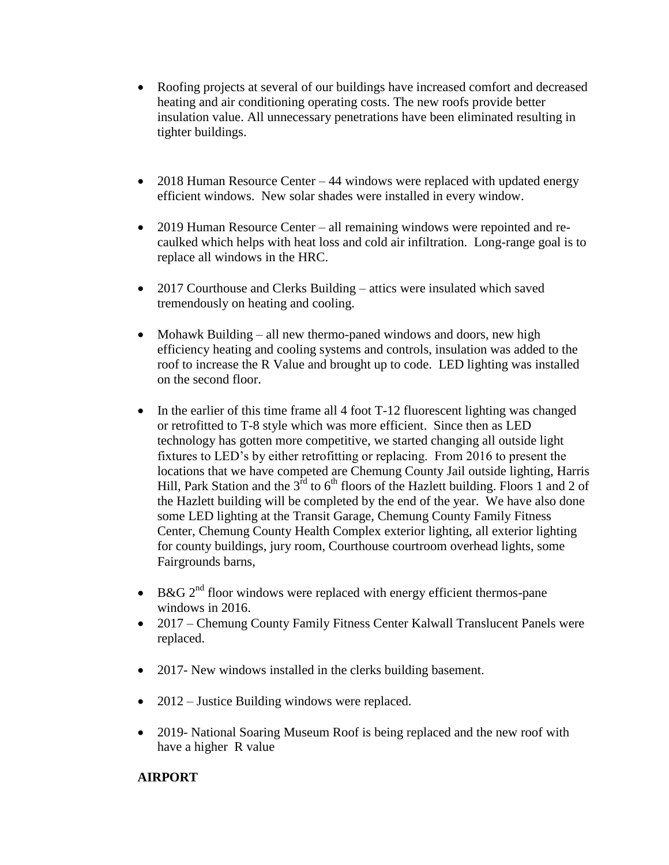- Roofing projects at several of our buildings have increased comfort and decreased heating and air conditioning operating costs. The new roofs provide better insulation value. All unnecessary penetrations have been eliminated resulting in tighter buildings.
- 2018 Human Resource Center 44 windows were replaced with updated energy efficient windows. New solar shades were installed in every window.
- 2019 Human Resource Center all remaining windows were repointed and recaulked which helps with heat loss and cold air infiltration. Long-range goal is to replace all windows in the HRC.
- 2017 Courthouse and Clerks Building attics were insulated which saved tremendously on heating and cooling.
- Mohawk Building all new thermo-paned windows and doors, new high efficiency heating and cooling systems and controls, insulation was added to the roof to increase the R Value and brought up to code. LED lighting was installed on the second floor.
- In the earlier of this time frame all 4 foot  $T-12$  fluorescent lighting was changed or retrofitted to T-8 style which was more efficient. Since then as LED technology has gotten more competitive, we started changing all outside light fixtures to LED's by either retrofitting or replacing. From 2016 to present the locations that we have competed are Chemung County Jail outside lighting, Harris Hill, Park Station and the  $3<sup>rd</sup>$  to  $6<sup>th</sup>$  floors of the Hazlett building. Floors 1 and 2 of the Hazlett building will be completed by the end of the year. We have also done some LED lighting at the Transit Garage, Chemung County Family Fitness Center, Chemung County Health Complex exterior lighting, all exterior lighting for county buildings, jury room, Courthouse courtroom overhead lights, some Fairgrounds barns,
- $\bullet$  B&G 2<sup>nd</sup> floor windows were replaced with energy efficient thermos-pane windows in 2016.
- 2017 Chemung County Family Fitness Center Kalwall Translucent Panels were replaced.
- 2017- New windows installed in the clerks building basement.
- 2012 Justice Building windows were replaced.
- 2019- National Soaring Museum Roof is being replaced and the new roof with have a higher R value

## **AIRPORT**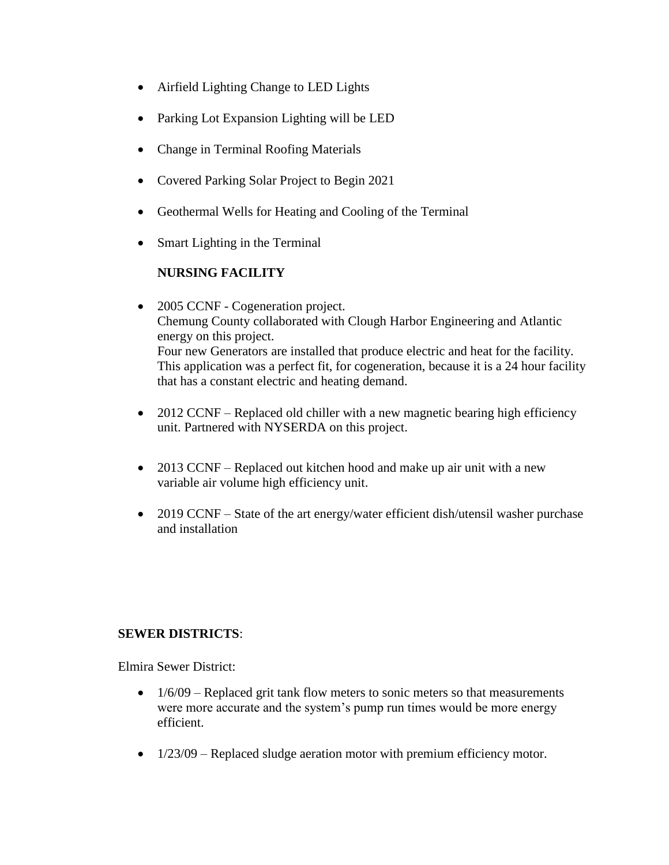- Airfield Lighting Change to LED Lights
- Parking Lot Expansion Lighting will be LED
- Change in Terminal Roofing Materials
- Covered Parking Solar Project to Begin 2021
- Geothermal Wells for Heating and Cooling of the Terminal
- Smart Lighting in the Terminal

## **NURSING FACILITY**

- 2005 CCNF Cogeneration project. Chemung County collaborated with Clough Harbor Engineering and Atlantic energy on this project. Four new Generators are installed that produce electric and heat for the facility. This application was a perfect fit, for cogeneration, because it is a 24 hour facility that has a constant electric and heating demand.
- 2012 CCNF Replaced old chiller with a new magnetic bearing high efficiency unit. Partnered with NYSERDA on this project.
- 2013 CCNF Replaced out kitchen hood and make up air unit with a new variable air volume high efficiency unit.
- 2019 CCNF State of the art energy/water efficient dish/utensil washer purchase and installation

## **SEWER DISTRICTS**:

Elmira Sewer District:

- $\bullet$  1/6/09 Replaced grit tank flow meters to sonic meters so that measurements were more accurate and the system's pump run times would be more energy efficient.
- 1/23/09 Replaced sludge aeration motor with premium efficiency motor.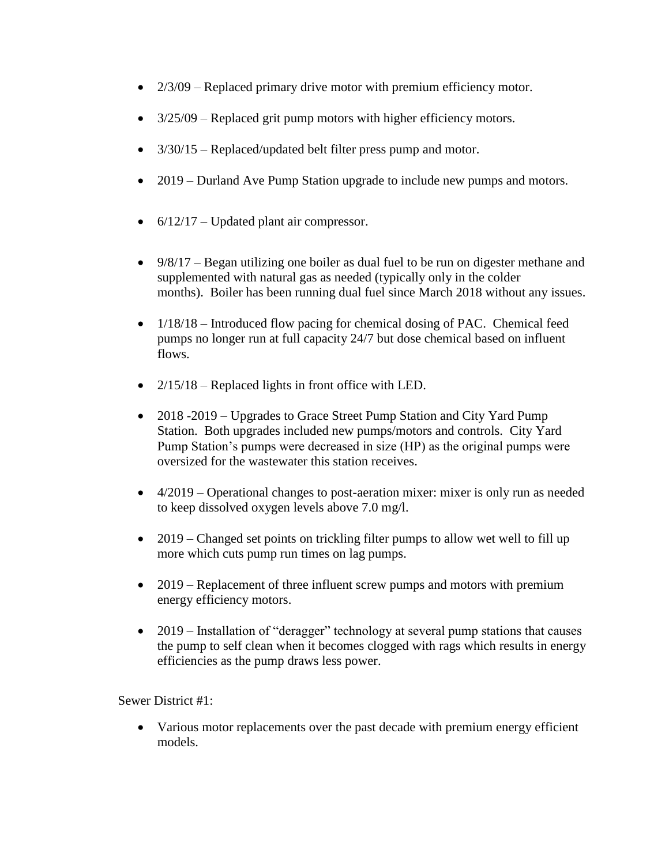- 2/3/09 Replaced primary drive motor with premium efficiency motor.
- $3/25/09$  Replaced grit pump motors with higher efficiency motors.
- $3/30/15$  Replaced/updated belt filter press pump and motor.
- 2019 Durland Ave Pump Station upgrade to include new pumps and motors.
- $\bullet$  6/12/17 Updated plant air compressor.
- 9/8/17 Began utilizing one boiler as dual fuel to be run on digester methane and supplemented with natural gas as needed (typically only in the colder months). Boiler has been running dual fuel since March 2018 without any issues.
- $1/18/18$  Introduced flow pacing for chemical dosing of PAC. Chemical feed pumps no longer run at full capacity 24/7 but dose chemical based on influent flows.
- $2/15/18$  Replaced lights in front office with LED.
- 2018 -2019 Upgrades to Grace Street Pump Station and City Yard Pump Station. Both upgrades included new pumps/motors and controls. City Yard Pump Station's pumps were decreased in size (HP) as the original pumps were oversized for the wastewater this station receives.
- 4/2019 Operational changes to post-aeration mixer: mixer is only run as needed to keep dissolved oxygen levels above 7.0 mg/l.
- 2019 Changed set points on trickling filter pumps to allow wet well to fill up more which cuts pump run times on lag pumps.
- 2019 Replacement of three influent screw pumps and motors with premium energy efficiency motors.
- 2019 Installation of "deragger" technology at several pump stations that causes the pump to self clean when it becomes clogged with rags which results in energy efficiencies as the pump draws less power.

Sewer District #1:

 Various motor replacements over the past decade with premium energy efficient models.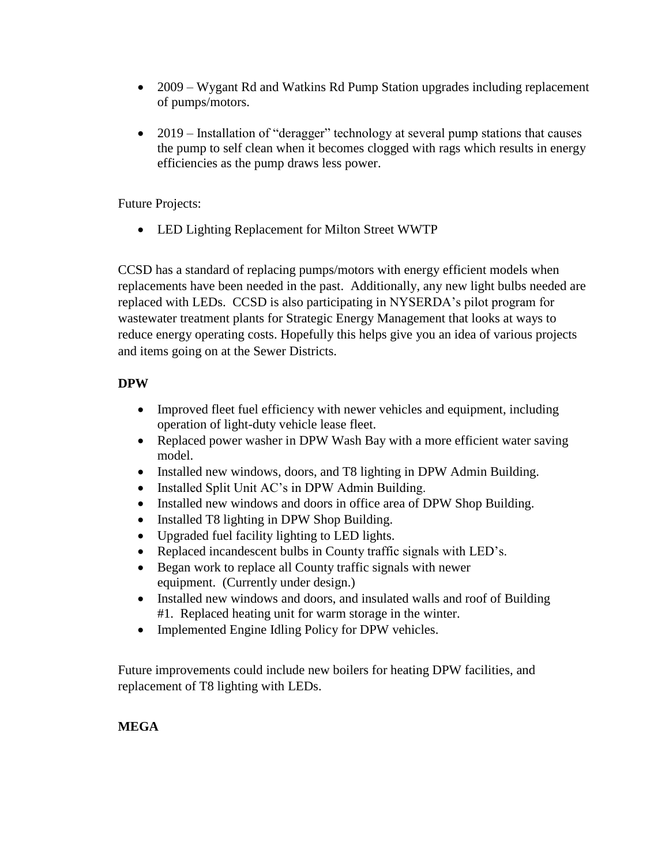- 2009 Wygant Rd and Watkins Rd Pump Station upgrades including replacement of pumps/motors.
- 2019 Installation of "deragger" technology at several pump stations that causes the pump to self clean when it becomes clogged with rags which results in energy efficiencies as the pump draws less power.

Future Projects:

LED Lighting Replacement for Milton Street WWTP

CCSD has a standard of replacing pumps/motors with energy efficient models when replacements have been needed in the past. Additionally, any new light bulbs needed are replaced with LEDs. CCSD is also participating in NYSERDA's pilot program for wastewater treatment plants for Strategic Energy Management that looks at ways to reduce energy operating costs. Hopefully this helps give you an idea of various projects and items going on at the Sewer Districts.

## **DPW**

- Improved fleet fuel efficiency with newer vehicles and equipment, including operation of light-duty vehicle lease fleet.
- Replaced power washer in DPW Wash Bay with a more efficient water saving model.
- Installed new windows, doors, and T8 lighting in DPW Admin Building.
- Installed Split Unit AC's in DPW Admin Building.
- Installed new windows and doors in office area of DPW Shop Building.
- Installed T8 lighting in DPW Shop Building.
- Upgraded fuel facility lighting to LED lights.
- Replaced incandescent bulbs in County traffic signals with LED's.
- Began work to replace all County traffic signals with newer equipment. (Currently under design.)
- Installed new windows and doors, and insulated walls and roof of Building #1. Replaced heating unit for warm storage in the winter.
- Implemented Engine Idling Policy for DPW vehicles.

Future improvements could include new boilers for heating DPW facilities, and replacement of T8 lighting with LEDs.

# **MEGA**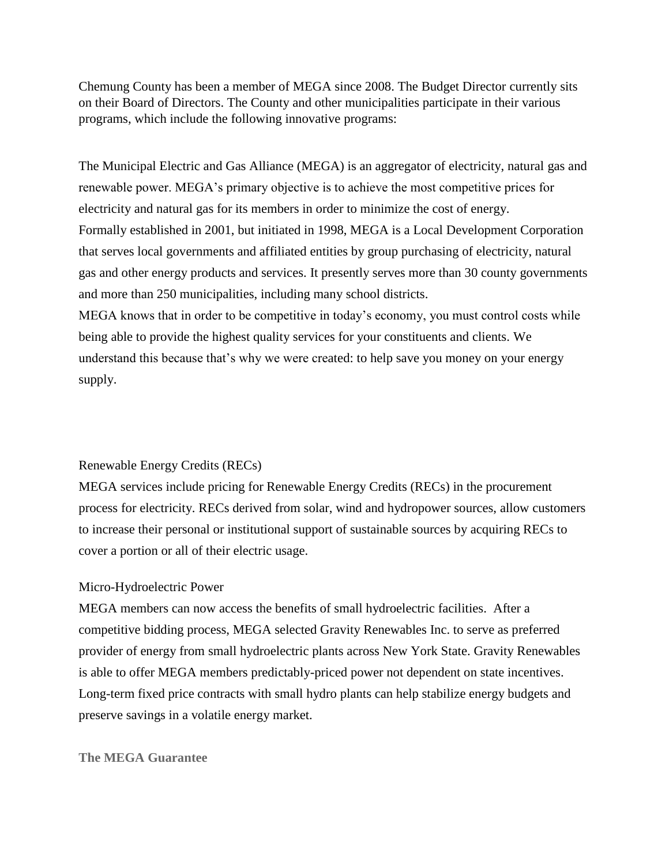Chemung County has been a member of MEGA since 2008. The Budget Director currently sits on their Board of Directors. The County and other municipalities participate in their various programs, which include the following innovative programs:

The Municipal Electric and Gas Alliance (MEGA) is an aggregator of electricity, natural gas and renewable power. MEGA's primary objective is to achieve the most competitive prices for electricity and natural gas for its members in order to minimize the cost of energy. Formally established in 2001, but initiated in 1998, MEGA is a Local Development Corporation that serves local governments and affiliated entities by group purchasing of electricity, natural gas and other energy products and services. It presently serves more than 30 county governments and more than 250 municipalities, including many school districts.

MEGA knows that in order to be competitive in today's economy, you must control costs while being able to provide the highest quality services for your constituents and clients. We understand this because that's why we were created: to help save you money on your energy supply.

## Renewable Energy Credits (RECs)

MEGA services include pricing for Renewable Energy Credits (RECs) in the procurement process for electricity. RECs derived from solar, wind and hydropower sources, allow customers to increase their personal or institutional support of sustainable sources by acquiring RECs to cover a portion or all of their electric usage.

#### Micro-Hydroelectric Power

MEGA members can now access the benefits of small hydroelectric facilities. After a competitive bidding process, MEGA selected Gravity Renewables Inc. to serve as preferred provider of energy from small hydroelectric plants across New York State. Gravity Renewables is able to offer MEGA members predictably-priced power not dependent on state incentives. Long-term fixed price contracts with small hydro plants can help stabilize energy budgets and preserve savings in a volatile energy market.

#### **The MEGA Guarantee**